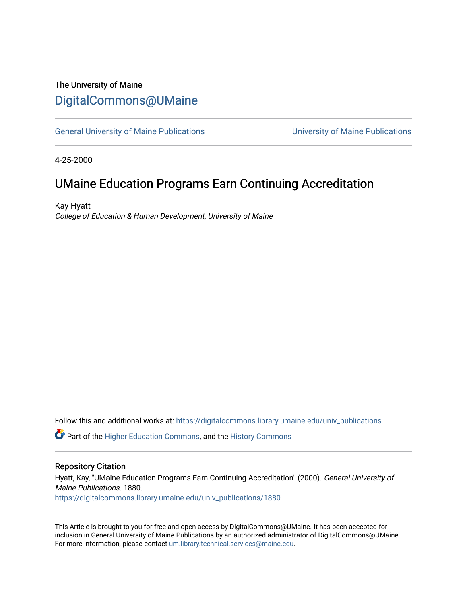### The University of Maine [DigitalCommons@UMaine](https://digitalcommons.library.umaine.edu/)

[General University of Maine Publications](https://digitalcommons.library.umaine.edu/univ_publications) [University of Maine Publications](https://digitalcommons.library.umaine.edu/umaine_publications) 

4-25-2000

## UMaine Education Programs Earn Continuing Accreditation

Kay Hyatt College of Education & Human Development, University of Maine

Follow this and additional works at: [https://digitalcommons.library.umaine.edu/univ\\_publications](https://digitalcommons.library.umaine.edu/univ_publications?utm_source=digitalcommons.library.umaine.edu%2Funiv_publications%2F1880&utm_medium=PDF&utm_campaign=PDFCoverPages) 

**C** Part of the [Higher Education Commons,](http://network.bepress.com/hgg/discipline/1245?utm_source=digitalcommons.library.umaine.edu%2Funiv_publications%2F1880&utm_medium=PDF&utm_campaign=PDFCoverPages) and the [History Commons](http://network.bepress.com/hgg/discipline/489?utm_source=digitalcommons.library.umaine.edu%2Funiv_publications%2F1880&utm_medium=PDF&utm_campaign=PDFCoverPages)

#### Repository Citation

Hyatt, Kay, "UMaine Education Programs Earn Continuing Accreditation" (2000). General University of Maine Publications. 1880. [https://digitalcommons.library.umaine.edu/univ\\_publications/1880](https://digitalcommons.library.umaine.edu/univ_publications/1880?utm_source=digitalcommons.library.umaine.edu%2Funiv_publications%2F1880&utm_medium=PDF&utm_campaign=PDFCoverPages)

This Article is brought to you for free and open access by DigitalCommons@UMaine. It has been accepted for inclusion in General University of Maine Publications by an authorized administrator of DigitalCommons@UMaine. For more information, please contact [um.library.technical.services@maine.edu](mailto:um.library.technical.services@maine.edu).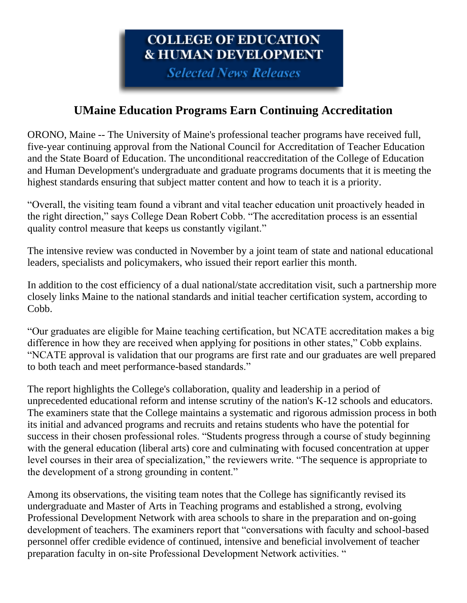# COLLEGE OF EDUCATION **& HUMAN DEVELOPMENT**

**Selected News Releases** 

## **UMaine Education Programs Earn Continuing Accreditation**

ORONO, Maine -- The University of Maine's professional teacher programs have received full, five-year continuing approval from the National Council for Accreditation of Teacher Education and the State Board of Education. The unconditional reaccreditation of the College of Education and Human Development's undergraduate and graduate programs documents that it is meeting the highest standards ensuring that subject matter content and how to teach it is a priority.

"Overall, the visiting team found a vibrant and vital teacher education unit proactively headed in the right direction," says College Dean Robert Cobb. "The accreditation process is an essential quality control measure that keeps us constantly vigilant."

The intensive review was conducted in November by a joint team of state and national educational leaders, specialists and policymakers, who issued their report earlier this month.

In addition to the cost efficiency of a dual national/state accreditation visit, such a partnership more closely links Maine to the national standards and initial teacher certification system, according to Cobb.

"Our graduates are eligible for Maine teaching certification, but NCATE accreditation makes a big difference in how they are received when applying for positions in other states," Cobb explains. "NCATE approval is validation that our programs are first rate and our graduates are well prepared to both teach and meet performance-based standards."

The report highlights the College's collaboration, quality and leadership in a period of unprecedented educational reform and intense scrutiny of the nation's K-12 schools and educators. The examiners state that the College maintains a systematic and rigorous admission process in both its initial and advanced programs and recruits and retains students who have the potential for success in their chosen professional roles. "Students progress through a course of study beginning with the general education (liberal arts) core and culminating with focused concentration at upper level courses in their area of specialization," the reviewers write. "The sequence is appropriate to the development of a strong grounding in content."

Among its observations, the visiting team notes that the College has significantly revised its undergraduate and Master of Arts in Teaching programs and established a strong, evolving Professional Development Network with area schools to share in the preparation and on-going development of teachers. The examiners report that "conversations with faculty and school-based personnel offer credible evidence of continued, intensive and beneficial involvement of teacher preparation faculty in on-site Professional Development Network activities. "